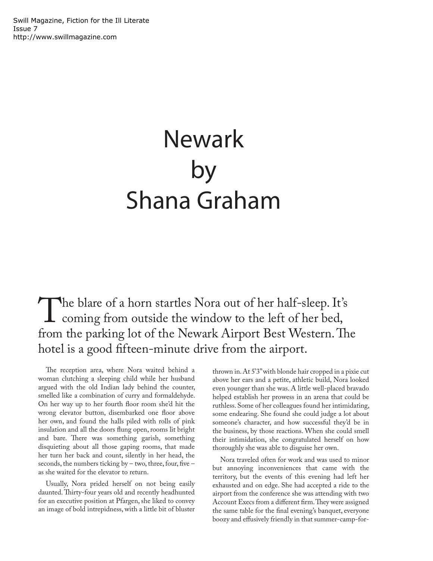## Newark by Shana Graham

The blare of a horn startles Nora out of her half-sleep. It's<br>coming from outside the window to the left of her bed,<br>from the parking lot of the Newark Airport Best Western Th coming from outside the window to the left of her bed, from the parking lot of the Newark Airport Best Western. The hotel is a good fifteen-minute drive from the airport.

The reception area, where Nora waited behind a woman clutching a sleeping child while her husband argued with the old Indian lady behind the counter, smelled like a combination of curry and formaldehyde. On her way up to her fourth floor room she'd hit the wrong elevator button, disembarked one floor above her own, and found the halls piled with rolls of pink insulation and all the doors flung open, rooms lit bright and bare. There was something garish, something disquieting about all those gaping rooms, that made her turn her back and count, silently in her head, the seconds, the numbers ticking by – two, three, four, five – as she waited for the elevator to return.

Usually, Nora prided herself on not being easily daunted. Thirty-four years old and recently headhunted for an executive position at Pfargen, she liked to convey an image of bold intrepidness, with a little bit of bluster thrown in. At 5'3" with blonde hair cropped in a pixie cut above her ears and a petite, athletic build, Nora looked even younger than she was. A little well-placed bravado helped establish her prowess in an arena that could be ruthless. Some of her colleagues found her intimidating, some endearing. She found she could judge a lot about someone's character, and how successful they'd be in the business, by those reactions. When she could smell their intimidation, she congratulated herself on how thoroughly she was able to disguise her own.

Nora traveled often for work and was used to minor but annoying inconveniences that came with the territory, but the events of this evening had left her exhausted and on edge. She had accepted a ride to the airport from the conference she was attending with two Account Execs from a different firm. They were assigned the same table for the final evening's banquet, everyone boozy and effusively friendly in that summer-camp-for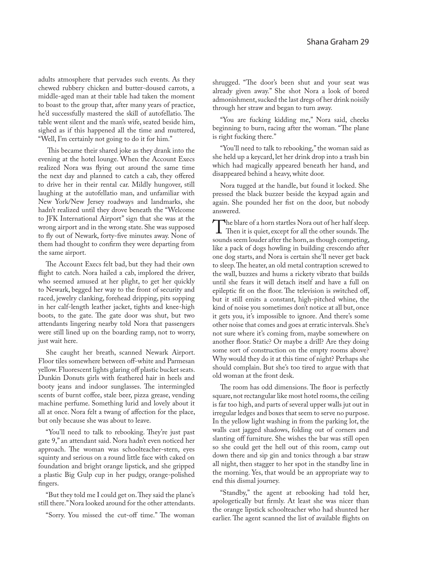adults atmosphere that pervades such events. As they chewed rubbery chicken and butter-doused carrots, a middle-aged man at their table had taken the moment to boast to the group that, after many years of practice, he'd successfully mastered the skill of autofellatio. The table went silent and the man's wife, seated beside him, sighed as if this happened all the time and muttered, "Well, I'm certainly not going to do it for him."

 This became their shared joke as they drank into the evening at the hotel lounge. When the Account Execs realized Nora was flying out around the same time the next day and planned to catch a cab, they offered to drive her in their rental car. Mildly hungover, still laughing at the autofellatio man, and unfamiliar with New York/New Jersey roadways and landmarks, she hadn't realized until they drove beneath the "Welcome to JFK International Airport" sign that she was at the wrong airport and in the wrong state. She was supposed to fly out of Newark, forty-five minutes away. None of them had thought to confirm they were departing from the same airport.

The Account Execs felt bad, but they had their own flight to catch. Nora hailed a cab, implored the driver, who seemed amused at her plight, to get her quickly to Newark, begged her way to the front of security and raced, jewelry clanking, forehead dripping, pits sopping in her calf-length leather jacket, tights and knee-high boots, to the gate. The gate door was shut, but two attendants lingering nearby told Nora that passengers were still lined up on the boarding ramp, not to worry, just wait here.

She caught her breath, scanned Newark Airport. Floor tiles somewhere between off-white and Parmesan yellow. Fluorescent lights glaring off plastic bucket seats. Dunkin Donuts girls with feathered hair in heels and booty jeans and indoor sunglasses. The intermingled scents of burnt coffee, stale beer, pizza grease, vending machine perfume. Something lurid and lovely about it all at once. Nora felt a twang of affection for the place, but only because she was about to leave.

"You'll need to talk to rebooking. They're just past gate 9," an attendant said. Nora hadn't even noticed her approach. The woman was schoolteacher-stern, eyes squinty and serious on a round little face with caked on foundation and bright orange lipstick, and she gripped a plastic Big Gulp cup in her pudgy, orange-polished fingers.

"But they told me I could get on. They said the plane's still there." Nora looked around for the other attendants.

"Sorry. You missed the cut-off time." The woman

shrugged. "The door's been shut and your seat was already given away." She shot Nora a look of bored admonishment, sucked the last dregs of her drink noisily through her straw and began to turn away.

"You are fucking kidding me," Nora said, cheeks beginning to burn, racing after the woman. "The plane is right fucking there."

"You'll need to talk to rebooking," the woman said as she held up a keycard, let her drink drop into a trash bin which had magically appeared beneath her hand, and disappeared behind a heavy, white door.

Nora tugged at the handle, but found it locked. She pressed the black buzzer beside the keypad again and again. She pounded her fist on the door, but nobody answered.

The blare of a horn startles Nora out of her half sleep.<br>Then it is quiet, except for all the other sounds. The<br>sounds seem louder after the horn-as though competing sounds seem louder after the horn, as though competing, like a pack of dogs howling in building crescendo after one dog starts, and Nora is certain she'll never get back to sleep. The heater, an old metal contraption screwed to the wall, buzzes and hums a rickety vibrato that builds until she fears it will detach itself and have a full on epileptic fit on the floor. The television is switched off, but it still emits a constant, high-pitched whine, the kind of noise you sometimes don't notice at all but, once it gets you, it's impossible to ignore. And there's some other noise that comes and goes at erratic intervals. She's not sure where it's coming from, maybe somewhere on another floor. Static? Or maybe a drill? Are they doing some sort of construction on the empty rooms above? Why would they do it at this time of night? Perhaps she should complain. But she's too tired to argue with that old woman at the front desk.

The room has odd dimensions. The floor is perfectly square, not rectangular like most hotel rooms, the ceiling is far too high, and parts of several upper walls jut out in irregular ledges and boxes that seem to serve no purpose. In the yellow light washing in from the parking lot, the walls cast jagged shadows, folding out of corners and slanting off furniture. She wishes the bar was still open so she could get the hell out of this room, camp out down there and sip gin and tonics through a bar straw all night, then stagger to her spot in the standby line in the morning. Yes, that would be an appropriate way to end this dismal journey.

"Standby," the agent at rebooking had told her, apologetically but firmly. At least she was nicer than the orange lipstick schoolteacher who had shunted her earlier. The agent scanned the list of available flights on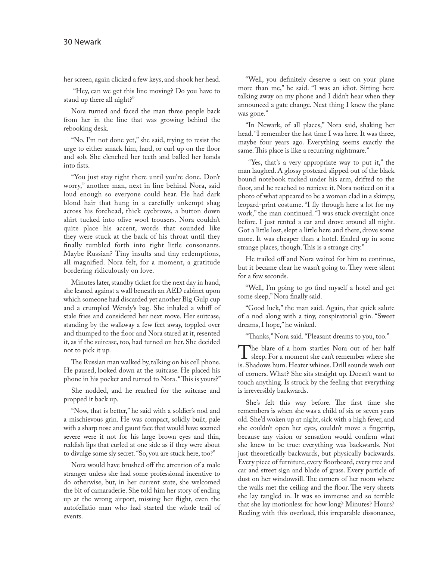her screen, again clicked a few keys, and shook her head.

 "Hey, can we get this line moving? Do you have to stand up there all night?"

Nora turned and faced the man three people back from her in the line that was growing behind the rebooking desk.

"No. I'm not done yet," she said, trying to resist the urge to either smack him, hard, or curl up on the floor and sob. She clenched her teeth and balled her hands into fists.

"You just stay right there until you're done. Don't worry," another man, next in line behind Nora, said loud enough so everyone could hear. He had dark blond hair that hung in a carefully unkempt shag across his forehead, thick eyebrows, a button down shirt tucked into olive wool trousers. Nora couldn't quite place his accent, words that sounded like they were stuck at the back of his throat until they finally tumbled forth into tight little consonants. Maybe Russian? Tiny insults and tiny redemptions, all magnified. Nora felt, for a moment, a gratitude bordering ridiculously on love.

Minutes later, standby ticket for the next day in hand, she leaned against a wall beneath an AED cabinet upon which someone had discarded yet another Big Gulp cup and a crumpled Wendy's bag. She inhaled a whiff of stale fries and considered her next move. Her suitcase, standing by the walkway a few feet away, toppled over and thumped to the floor and Nora stared at it, resented it, as if the suitcase, too, had turned on her. She decided not to pick it up.

The Russian man walked by, talking on his cell phone. He paused, looked down at the suitcase. He placed his phone in his pocket and turned to Nora. "This is yours?"

She nodded, and he reached for the suitcase and propped it back up.

"Now, that is better," he said with a soldier's nod and a mischievous grin. He was compact, solidly built, pale with a sharp nose and gaunt face that would have seemed severe were it not for his large brown eyes and thin, reddish lips that curled at one side as if they were about to divulge some sly secret. "So, you are stuck here, too?"

Nora would have brushed off the attention of a male stranger unless she had some professional incentive to do otherwise, but, in her current state, she welcomed the bit of camaraderie. She told him her story of ending up at the wrong airport, missing her flight, even the autofellatio man who had started the whole trail of events.

"Well, you definitely deserve a seat on your plane more than me," he said. "I was an idiot. Sitting here talking away on my phone and I didn't hear when they announced a gate change. Next thing I knew the plane was gone."

"In Newark, of all places," Nora said, shaking her head. "I remember the last time I was here. It was three, maybe four years ago. Everything seems exactly the same. This place is like a recurring nightmare."

 "Yes, that's a very appropriate way to put it," the man laughed. A glossy postcard slipped out of the black bound notebook tucked under his arm, drifted to the floor, and he reached to retrieve it. Nora noticed on it a photo of what appeared to be a woman clad in a skimpy, leopard-print costume. "I fly through here a lot for my work," the man continued. "I was stuck overnight once before. I just rented a car and drove around all night. Got a little lost, slept a little here and there, drove some more. It was cheaper than a hotel. Ended up in some strange places, though. This is a strange city."

He trailed off and Nora waited for him to continue, but it became clear he wasn't going to. They were silent for a few seconds.

"Well, I'm going to go find myself a hotel and get some sleep," Nora finally said.

"Good luck," the man said. Again, that quick salute of a nod along with a tiny, conspiratorial grin. "Sweet dreams, I hope," he winked.

"Thanks," Nora said. "Pleasant dreams to you, too."

The blare of a horn startles Nora out of her half<br>sleep. For a moment she can't remember where she<br>is Shadows hum Heater whines Drill sounds wash out is. Shadows hum. Heater whines. Drill sounds wash out of corners. What? She sits straight up. Doesn't want to touch anything. Is struck by the feeling that everything is irreversibly backwards.

She's felt this way before. The first time she remembers is when she was a child of six or seven years old. She'd woken up at night, sick with a high fever, and she couldn't open her eyes, couldn't move a fingertip, because any vision or sensation would confirm what she knew to be true: everything was backwards. Not just theoretically backwards, but physically backwards. Every piece of furniture, every floorboard, every tree and car and street sign and blade of grass. Every particle of dust on her windowsill. The corners of her room where the walls met the ceiling and the floor. The very sheets she lay tangled in. It was so immense and so terrible that she lay motionless for how long? Minutes? Hours? Reeling with this overload, this irreparable dissonance,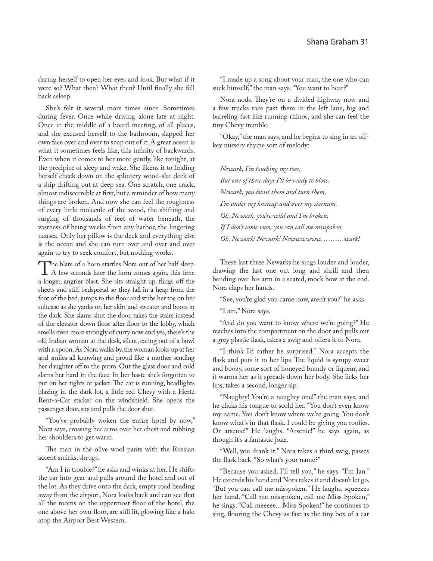daring herself to open her eyes and look. But what if it were so? What then? What then? Until finally she fell back asleep.

She's felt it several more times since. Sometimes during fever. Once while driving alone late at night. Once in the middle of a board meeting, of all places, and she excused herself to the bathroom, slapped her own face over and over to snap out of it. A great ocean is what it sometimes feels like, this infinity of backwards. Even when it comes to her more gently, like tonight, at the precipice of sleep and wake. She likens it to finding herself cheek down on the splintery wood-slat deck of a ship drifting out at deep sea. One scratch, one crack, almost indiscernible at first, but a reminder of how many things are broken. And now she can feel the roughness of every little molecule of the wood, the shifting and surging of thousands of feet of water beneath, the vastness of being weeks from any harbor, the lingering nausea. Only her pillow is the deck and everything else is the ocean and she can turn over and over and over again to try to seek comfort, but nothing works.

The blare of a horn startles Nora out of her half sleep.<br>A few seconds later the horn comes again, this time<br>a longer angrier blast. She sits straight una flings off the a longer, angrier blast. She sits straight up, flings off the sheets and stiff bedspread so they fall in a heap from the foot of the bed, jumps to the floor and stubs her toe on her suitcase as she yanks on her skirt and sweater and boots in the dark. She slams shut the door, takes the stairs instead of the elevator down floor after floor to the lobby, which smells even more strongly of curry now and yes, there's the old Indian woman at the desk, silent, eating out of a bowl with a spoon. As Nora walks by, the woman looks up at her and smiles all knowing and proud like a mother sending her daughter off to the prom. Out the glass door and cold slams her hard in the face. In her haste she's forgotten to put on her tights or jacket. The car is running, headlights blazing in the dark lot, a little red Chevy with a Hertz Rent-a-Car sticker on the windshield. She opens the passenger door, sits and pulls the door shut.

"You've probably woken the entire hotel by now," Nora says, crossing her arms over her chest and rubbing her shoulders to get warm.

The man in the olive wool pants with the Russian accent smirks, shrugs.

"Am I in trouble?" he asks and winks at her. He shifts the car into gear and pulls around the hotel and out of the lot. As they drive onto the dark, empty road heading away from the airport, Nora looks back and can see that all the rooms on the uppermost floor of the hotel, the one above her own floor, are still lit, glowing like a halo atop the Airport Best Western.

"I made up a song about your man, the one who can suck himself," the man says. "You want to hear?"

Nora nods. They're on a divided highway now and a few trucks race past them in the left lane, big and barreling fast like running rhinos, and she can feel the tiny Chevy tremble.

"Okay," the man says, and he begins to sing in an offkey nursery rhyme sort of melody:

*Newark, I'm touching my toes, But one of these days I'll be ready to blow. Newark, you twist them and turn them, I'm under my kneecap and over my sternum. Oh, Newark, you're wild and I'm broken, If I don't come soon, you can call me misspoken. Oh, Newark! Newark! Newwwwww……….wark!*

These last three Newarks he sings louder and louder, drawing the last one out long and shrill and then bending over his arm in a seated, mock bow at the end. Nora claps her hands.

"See, you're glad you came now, aren't you?" he asks.

"I am," Nora says.

"And do you want to know where we're going?" He reaches into the compartment on the door and pulls out a grey plastic flask, takes a swig and offers it to Nora.

"I think I'd rather be surprised." Nora accepts the flask and puts it to her lips. The liquid is syrupy sweet and boozy, some sort of honeyed brandy or liqueur, and it warms her as it spreads down her body. She licks her lips, takes a second, longer sip.

"Naughty! You're a naughty one!" the man says, and he clicks his tongue to scold her. "You don't even know my name. You don't know where we're going. You don't know what's in that flask. I could be giving you roofies. Or arsenic!" He laughs. "Arsenic!" he says again, as though it's a fantastic joke.

"Well, you drank it." Nora takes a third swig, passes the flask back. "So what's your name?"

"Because you asked, I'll tell you," he says. "I'm Jan." He extends his hand and Nora takes it and doesn't let go. "But you can call me misspoken." He laughs, squeezes her hand. "Call me misspoken, call me Miss Spoken," he sings. "Call meeeee... Miss Spoken!" he continues to sing, flooring the Chevy as fast as the tiny box of a car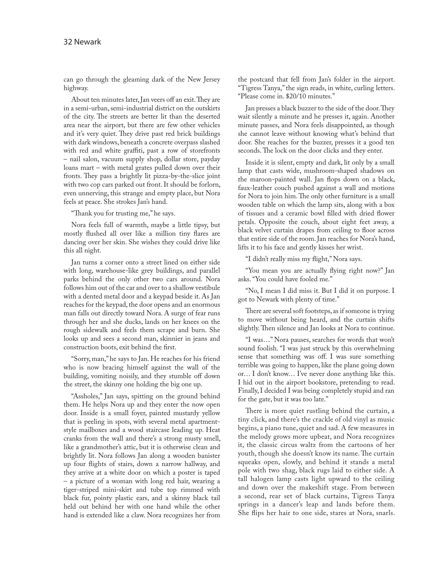can go through the gleaming dark of the New Jersey highway.

About ten minutes later, Jan veers off an exit. They are in a semi-urban, semi-industrial district on the outskirts of the city. The streets are better lit than the deserted area near the airport, but there are few other vehicles and it's very quiet. They drive past red brick buildings with dark windows, beneath a concrete overpass slashed with red and white graffiti, past a row of storefronts – nail salon, vacuum supply shop, dollar store, payday loans mart – with metal grates pulled down over their fronts. They pass a brightly lit pizza-by-the-slice joint with two cop cars parked out front. It should be forlorn, even unnerving, this strange and empty place, but Nora feels at peace. She strokes Jan's hand.

"Thank you for trusting me," he says.

Nora feels full of warmth, maybe a little tipsy, but mostly flushed all over like a million tiny flares are dancing over her skin. She wishes they could drive like this all night.

Jan turns a corner onto a street lined on either side with long, warehouse-like grey buildings, and parallel parks behind the only other two cars around. Nora follows him out of the car and over to a shallow vestibule with a dented metal door and a keypad beside it. As Jan reaches for the keypad, the door opens and an enormous man falls out directly toward Nora. A surge of fear runs through her and she ducks, lands on her knees on the rough sidewalk and feels them scrape and burn. She looks up and sees a second man, skinnier in jeans and construction boots, exit behind the first.

"Sorry, man," he says to Jan. He reaches for his friend who is now bracing himself against the wall of the building, vomiting noisily, and they stumble off down the street, the skinny one holding the big one up.

"Assholes," Jan says, spitting on the ground behind them. He helps Nora up and they enter the now open door. Inside is a small foyer, painted mustardy yellow that is peeling in spots, with several metal apartmentstyle mailboxes and a wood staircase leading up. Heat cranks from the wall and there's a strong musty smell, like a grandmother's attic, but it is otherwise clean and brightly lit. Nora follows Jan along a wooden banister up four flights of stairs, down a narrow hallway, and they arrive at a white door on which a poster is taped – a picture of a woman with long red hair, wearing a tiger-striped mini-skirt and tube top rimmed with black fur, pointy plastic ears, and a skinny black tail held out behind her with one hand while the other hand is extended like a claw. Nora recognizes her from the postcard that fell from Jan's folder in the airport. "Tigress Tanya," the sign reads, in white, curling letters. "Please come in. \$20/10 minutes."

Jan presses a black buzzer to the side of the door. They wait silently a minute and he presses it, again. Another minute passes, and Nora feels disappointed, as though she cannot leave without knowing what's behind that door. She reaches for the buzzer, presses it a good ten seconds. The lock on the door clicks and they enter.

Inside it is silent, empty and dark, lit only by a small lamp that casts wide, mushroom-shaped shadows on the maroon-painted wall. Jan flops down on a black, faux-leather couch pushed against a wall and motions for Nora to join him. The only other furniture is a small wooden table on which the lamp sits, along with a box of tissues and a ceramic bowl filled with dried flower petals. Opposite the couch, about eight feet away, a black velvet curtain drapes from ceiling to floor across that entire side of the room. Jan reaches for Nora's hand, lifts it to his face and gently kisses her wrist.

"I didn't really miss my flight," Nora says.

"You mean you are actually flying right now?" Jan asks. "You could have fooled me."

"No, I mean I did miss it. But I did it on purpose. I got to Newark with plenty of time."

There are several soft footsteps, as if someone is trying to move without being heard, and the curtain shifts slightly. Then silence and Jan looks at Nora to continue.

"I was…" Nora pauses, searches for words that won't sound foolish. "I was just struck by this overwhelming sense that something was off. I was sure something terrible was going to happen, like the plane going down or… I don't know… I've never done anything like this. I hid out in the airport bookstore, pretending to read. Finally, I decided I was being completely stupid and ran for the gate, but it was too late."

There is more quiet rustling behind the curtain, a tiny click, and there's the crackle of old vinyl as music begins, a piano tune, quiet and sad. A few measures in the melody grows more upbeat, and Nora recognizes it, the classic circus waltz from the cartoons of her youth, though she doesn't know its name. The curtain squeaks open, slowly, and behind it stands a metal pole with two shag, black rugs laid to either side. A tall halogen lamp casts light upward to the ceiling and down over the makeshift stage. From between a second, rear set of black curtains, Tigress Tanya springs in a dancer's leap and lands before them. She flips her hair to one side, stares at Nora, snarls.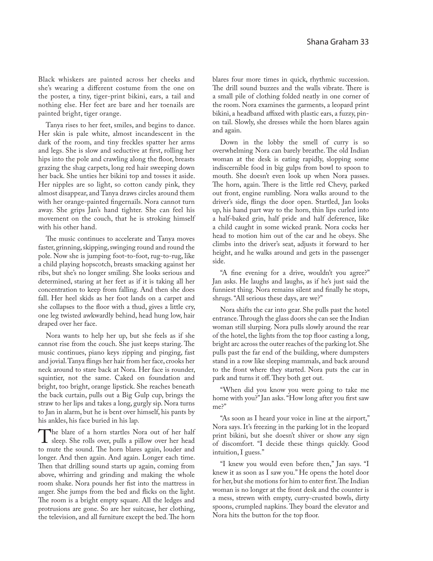Black whiskers are painted across her cheeks and she's wearing a different costume from the one on the poster, a tiny, tiger-print bikini, ears, a tail and nothing else. Her feet are bare and her toenails are painted bright, tiger orange.

Tanya rises to her feet, smiles, and begins to dance. Her skin is pale white, almost incandescent in the dark of the room, and tiny freckles spatter her arms and legs. She is slow and seductive at first, rolling her hips into the pole and crawling along the floor, breasts grazing the shag carpets, long red hair sweeping down her back. She unties her bikini top and tosses it aside. Her nipples are so light, so cotton candy pink, they almost disappear, and Tanya draws circles around them with her orange-painted fingernails. Nora cannot turn away. She grips Jan's hand tighter. She can feel his movement on the couch, that he is stroking himself with his other hand.

The music continues to accelerate and Tanya moves faster, grinning, skipping, swinging round and round the pole. Now she is jumping foot-to-foot, rug-to-rug, like a child playing hopscotch, breasts smacking against her ribs, but she's no longer smiling. She looks serious and determined, staring at her feet as if it is taking all her concentration to keep from falling. And then she does fall. Her heel skids as her foot lands on a carpet and she collapses to the floor with a thud, gives a little cry, one leg twisted awkwardly behind, head hung low, hair draped over her face.

Nora wants to help her up, but she feels as if she cannot rise from the couch. She just keeps staring. The music continues, piano keys zipping and pinging, fast and jovial. Tanya flings her hair from her face, crooks her neck around to stare back at Nora. Her face is rounder, squintier, not the same. Caked on foundation and bright, too bright, orange lipstick. She reaches beneath the back curtain, pulls out a Big Gulp cup, brings the straw to her lips and takes a long, gurgly sip. Nora turns to Jan in alarm, but he is bent over himself, his pants by his ankles, his face buried in his lap.

The blare of a horn startles Nora out of her half<br>sleep. She rolls over, pulls a pillow over her head<br>to mute the sound. The horn blares again, louder and to mute the sound. The horn blares again, louder and longer. And then again. And again. Longer each time. Then that drilling sound starts up again, coming from above, whirring and grinding and making the whole room shake. Nora pounds her fist into the mattress in anger. She jumps from the bed and flicks on the light. The room is a bright empty square. All the ledges and protrusions are gone. So are her suitcase, her clothing, the television, and all furniture except the bed. The horn

blares four more times in quick, rhythmic succession. The drill sound buzzes and the walls vibrate. There is a small pile of clothing folded neatly in one corner of the room. Nora examines the garments, a leopard print bikini, a headband affixed with plastic ears, a fuzzy, pinon tail. Slowly, she dresses while the horn blares again and again.

Down in the lobby the smell of curry is so overwhelming Nora can barely breathe. The old Indian woman at the desk is eating rapidly, slopping some indiscernible food in big gulps from bowl to spoon to mouth. She doesn't even look up when Nora passes. The horn, again. There is the little red Chevy, parked out front, engine rumbling. Nora walks around to the driver's side, flings the door open. Startled, Jan looks up, his hand part way to the horn, thin lips curled into a half-baked grin, half pride and half deference, like a child caught in some wicked prank. Nora cocks her head to motion him out of the car and he obeys. She climbs into the driver's seat, adjusts it forward to her height, and he walks around and gets in the passenger side.

"A fine evening for a drive, wouldn't you agree?" Jan asks. He laughs and laughs, as if he's just said the funniest thing. Nora remains silent and finally he stops, shrugs. "All serious these days, are we?"

Nora shifts the car into gear. She pulls past the hotel entrance. Through the glass doors she can see the Indian woman still slurping. Nora pulls slowly around the rear of the hotel, the lights from the top floor casting a long, bright arc across the outer reaches of the parking lot. She pulls past the far end of the building, where dumpsters stand in a row like sleeping mammals, and back around to the front where they started. Nora puts the car in park and turns it off. They both get out.

"When did you know you were going to take me home with you?" Jan asks. "How long after you first saw me?"

"As soon as I heard your voice in line at the airport," Nora says. It's freezing in the parking lot in the leopard print bikini, but she doesn't shiver or show any sign of discomfort. "I decide these things quickly. Good intuition, I guess."

"I knew you would even before then," Jan says. "I knew it as soon as I saw you." He opens the hotel door for her, but she motions for him to enter first. The Indian woman is no longer at the front desk and the counter is a mess, strewn with empty, curry-crusted bowls, dirty spoons, crumpled napkins. They board the elevator and Nora hits the button for the top floor.